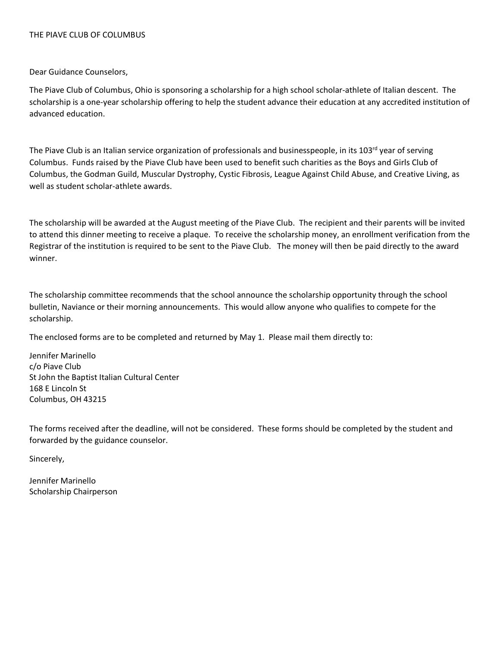## THE PIAVE CLUB OF COLUMBUS

Dear Guidance Counselors,

The Piave Club of Columbus, Ohio is sponsoring a scholarship for a high school scholar-athlete of Italian descent. The scholarship is a one-year scholarship offering to help the student advance their education at any accredited institution of advanced education.

The Piave Club is an Italian service organization of professionals and businesspeople, in its 103<sup>rd</sup> year of serving Columbus. Funds raised by the Piave Club have been used to benefit such charities as the Boys and Girls Club of Columbus, the Godman Guild, Muscular Dystrophy, Cystic Fibrosis, League Against Child Abuse, and Creative Living, as well as student scholar-athlete awards.

The scholarship will be awarded at the August meeting of the Piave Club. The recipient and their parents will be invited to attend this dinner meeting to receive a plaque. To receive the scholarship money, an enrollment verification from the Registrar of the institution is required to be sent to the Piave Club. The money will then be paid directly to the award winner.

The scholarship committee recommends that the school announce the scholarship opportunity through the school bulletin, Naviance or their morning announcements. This would allow anyone who qualifies to compete for the scholarship.

The enclosed forms are to be completed and returned by May 1. Please mail them directly to:

Jennifer Marinello c/o Piave Club St John the Baptist Italian Cultural Center 168 E Lincoln St Columbus, OH 43215

The forms received after the deadline, will not be considered. These forms should be completed by the student and forwarded by the guidance counselor.

Sincerely,

Jennifer Marinello Scholarship Chairperson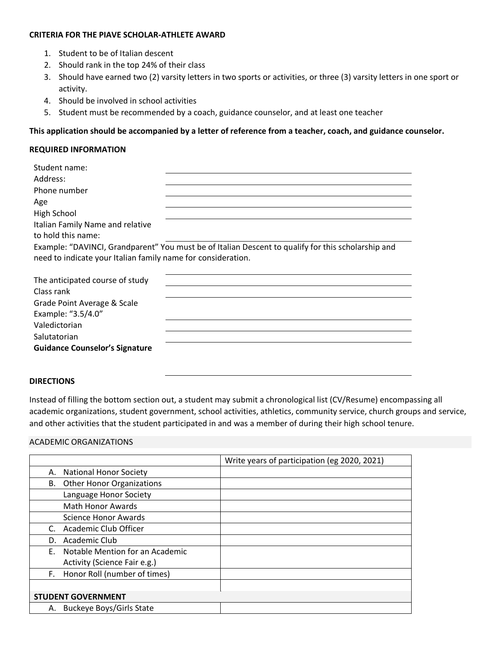### **CRITERIA FOR THE PIAVE SCHOLAR-ATHLETE AWARD**

- 1. Student to be of Italian descent
- 2. Should rank in the top 24% of their class
- 3. Should have earned two (2) varsity letters in two sports or activities, or three (3) varsity letters in one sport or activity.
- 4. Should be involved in school activities
- 5. Student must be recommended by a coach, guidance counselor, and at least one teacher

# **This application should be accompanied by a letter of reference from a teacher, coach, and guidance counselor.**

## **REQUIRED INFORMATION**

| Student name:                                                                                      |
|----------------------------------------------------------------------------------------------------|
| Address:                                                                                           |
| Phone number                                                                                       |
| Age                                                                                                |
| High School                                                                                        |
| Italian Family Name and relative                                                                   |
| to hold this name:                                                                                 |
| Example: "DAVINCI, Grandparent" You must be of Italian Descent to qualify for this scholarship and |
| need to indicate your Italian family name for consideration.                                       |
|                                                                                                    |
| The anticipated course of study                                                                    |
| Class rank                                                                                         |
| Grade Point Average & Scale                                                                        |
| Example: "3.5/4.0"                                                                                 |
| Valedictorian                                                                                      |
| Salutatorian                                                                                       |
| <b>Guidance Counselor's Signature</b>                                                              |
|                                                                                                    |

#### **DIRECTIONS**

Instead of filling the bottom section out, a student may submit a chronological list (CV/Resume) encompassing all academic organizations, student government, school activities, athletics, community service, church groups and service, and other activities that the student participated in and was a member of during their high school tenure.

## ACADEMIC ORGANIZATIONS

|    |                                  | Write years of participation (eg 2020, 2021) |
|----|----------------------------------|----------------------------------------------|
| А. | <b>National Honor Society</b>    |                                              |
| В. | <b>Other Honor Organizations</b> |                                              |
|    | Language Honor Society           |                                              |
|    | Math Honor Awards                |                                              |
|    | Science Honor Awards             |                                              |
| C. | Academic Club Officer            |                                              |
| D. | Academic Club                    |                                              |
| E. | Notable Mention for an Academic  |                                              |
|    | Activity (Science Fair e.g.)     |                                              |
| F. | Honor Roll (number of times)     |                                              |
|    |                                  |                                              |
|    | <b>STUDENT GOVERNMENT</b>        |                                              |
| А. | <b>Buckeye Boys/Girls State</b>  |                                              |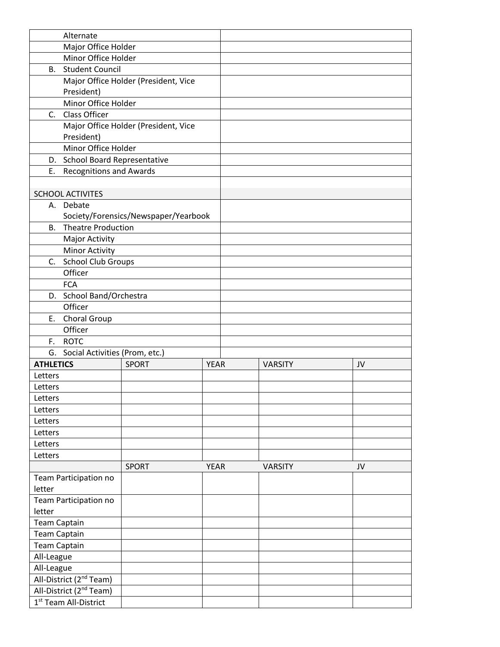|                                                                            | Alternate                         |                                      |             |  |                |    |
|----------------------------------------------------------------------------|-----------------------------------|--------------------------------------|-------------|--|----------------|----|
|                                                                            | Major Office Holder               |                                      |             |  |                |    |
|                                                                            | Minor Office Holder               |                                      |             |  |                |    |
|                                                                            | <b>B.</b> Student Council         |                                      |             |  |                |    |
|                                                                            |                                   | Major Office Holder (President, Vice |             |  |                |    |
|                                                                            | President)                        |                                      |             |  |                |    |
|                                                                            | Minor Office Holder               |                                      |             |  |                |    |
|                                                                            | C. Class Officer                  |                                      |             |  |                |    |
|                                                                            |                                   | Major Office Holder (President, Vice |             |  |                |    |
|                                                                            | President)                        |                                      |             |  |                |    |
|                                                                            | Minor Office Holder               |                                      |             |  |                |    |
|                                                                            | D. School Board Representative    |                                      |             |  |                |    |
| Ε.                                                                         | <b>Recognitions and Awards</b>    |                                      |             |  |                |    |
|                                                                            |                                   |                                      |             |  |                |    |
|                                                                            | <b>SCHOOL ACTIVITES</b>           |                                      |             |  |                |    |
|                                                                            | A. Debate                         |                                      |             |  |                |    |
|                                                                            |                                   | Society/Forensics/Newspaper/Yearbook |             |  |                |    |
|                                                                            | <b>B.</b> Theatre Production      |                                      |             |  |                |    |
|                                                                            | Major Activity                    |                                      |             |  |                |    |
|                                                                            | <b>Minor Activity</b>             |                                      |             |  |                |    |
|                                                                            | C. School Club Groups             |                                      |             |  |                |    |
|                                                                            | Officer                           |                                      |             |  |                |    |
|                                                                            | <b>FCA</b>                        |                                      |             |  |                |    |
|                                                                            | D. School Band/Orchestra          |                                      |             |  |                |    |
|                                                                            | Officer                           |                                      |             |  |                |    |
|                                                                            | E. Choral Group                   |                                      |             |  |                |    |
|                                                                            | Officer                           |                                      |             |  |                |    |
| F.                                                                         | <b>ROTC</b>                       |                                      |             |  |                |    |
|                                                                            | G. Social Activities (Prom, etc.) |                                      |             |  |                |    |
| <b>ATHLETICS</b>                                                           |                                   | <b>SPORT</b>                         | <b>YEAR</b> |  | <b>VARSITY</b> | JV |
| Letters                                                                    |                                   |                                      |             |  |                |    |
| Letters                                                                    |                                   |                                      |             |  |                |    |
| Letters                                                                    |                                   |                                      |             |  |                |    |
| Letters                                                                    |                                   |                                      |             |  |                |    |
| Letters                                                                    |                                   |                                      |             |  |                |    |
| Letters                                                                    |                                   |                                      |             |  |                |    |
| Letters                                                                    |                                   |                                      |             |  |                |    |
| Letters                                                                    |                                   |                                      |             |  |                |    |
|                                                                            |                                   | <b>SPORT</b>                         | <b>YEAR</b> |  | <b>VARSITY</b> | JV |
|                                                                            | Team Participation no             |                                      |             |  |                |    |
| letter                                                                     |                                   |                                      |             |  |                |    |
|                                                                            | Team Participation no             |                                      |             |  |                |    |
| letter                                                                     |                                   |                                      |             |  |                |    |
|                                                                            |                                   |                                      |             |  |                |    |
| <b>Team Captain</b><br><b>Team Captain</b>                                 |                                   |                                      |             |  |                |    |
|                                                                            |                                   |                                      |             |  |                |    |
| <b>Team Captain</b><br>All-League                                          |                                   |                                      |             |  |                |    |
|                                                                            |                                   |                                      |             |  |                |    |
| All-League                                                                 |                                   |                                      |             |  |                |    |
| All-District (2 <sup>nd</sup> Team)<br>All-District (2 <sup>nd</sup> Team) |                                   |                                      |             |  |                |    |
|                                                                            |                                   |                                      |             |  |                |    |
|                                                                            | 1 <sup>st</sup> Team All-District |                                      |             |  |                |    |